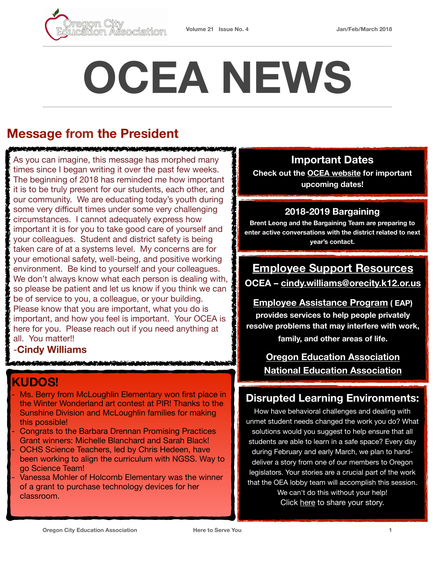



# **OCEA NEWS**

# **Message from the President**

As you can imagine, this message has morphed many times since I began writing it over the past few weeks. The beginning of 2018 has reminded me how important it is to be truly present for our students, each other, and our community. We are educating today's youth during some very difficult times under some very challenging circumstances. I cannot adequately express how important it is for you to take good care of yourself and your colleagues. Student and district safety is being taken care of at a systems level. My concerns are for your emotional safety, well-being, and positive working environment. Be kind to yourself and your colleagues. We don't always know what each person is dealing with, so please be patient and let us know if you think we can be of service to you, a colleague, or your building. Please know that you are important, what you do is important, and how you feel is important. Your OCEA is here for you. Please reach out if you need anything at all. You matter!!

#### -**Cindy Williams**

## **KUDOS!**

- Ms. Berry from McLoughlin Elementary won first place in the Winter Wonderland art contest at PIR! Thanks to the Sunshine Division and McLoughlin families for making this possible!
- Congrats to the Barbara Drennan Promising Practices Grant winners: Michelle Blanchard and Sarah Black!
- OCHS Science Teachers, led by Chris Hedeen, have been working to align the curriculum with NGSS. Way to go Science Team!
- Vanessa Mohler of Holcomb Elementary was the winner of a grant to purchase technology devices for her classroom.

## **Important Dates**

**Check out the [OCEA website](https://www.orecityea.org/) for important upcoming dates!**

#### **2018-2019 Bargaining**

**Brent Leong and the Bargaining Team are preparing to enter active conversations with the district related to next year's contact.**

## **Employee Support Resources**

**OCEA – [cindy.williams@orecity.k12.or.us](mailto:cindy.williams@orecity.k12.or.us?subject=Employee%20Support%20Resources)**

**[Employee Assistance Program](http://ocsd62.org/human-resources/eap) ( EAP) provides services to help people privately resolve problems that may interfere with work, family, and other areas of life.** 

> **[Oregon Education Association](https://www.oregoned.org/) [National Education Association](http://www.nea.org/)**

## **Disrupted Learning Environments:**

How have behavioral challenges and dealing with unmet student needs changed the work you do? What solutions would you suggest to help ensure that all students are able to learn in a safe space? Every day during February and early March, we plan to handdeliver a story from one of our members to Oregon legislators. Your stories are a crucial part of the work that the OEA lobby team will accomplish this session. We can't do this without your help! Click [here](https://www.oregoned.org/whats-new/have-you-experienced-disruptive-learning-environments) to share your story.